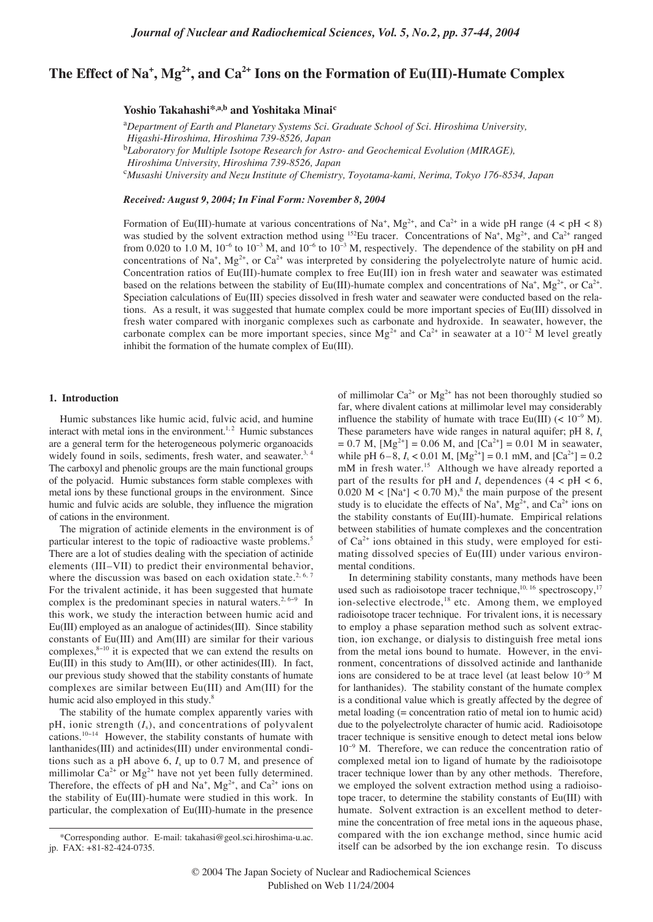# **The Effect of Na<sup>+</sup> , Mg2+, and Ca2+ Ions on the Formation of Eu(III)-Humate Complex**

# **Yoshio Takahashi\*,a,b and Yoshitaka Minai<sup>c</sup>**

<sup>a</sup>Department of Earth and Planetary Systems Sci. Graduate School of Sci. Hiroshima University, *Higashi-Hiroshima, Hiroshima 739-8526, Japan* b *Laboratory for Multiple Isotope Research for Astro- and Geochemical Evolution (MIRAGE), Hiroshima University, Hiroshima 739-8526, Japan* c *Musashi University and Nezu Institute of Chemistry, Toyotama-kami, Nerima, Tokyo 176-8534, Japan*

*Received: August 9, 2004; In Final Form: November 8, 2004*

Formation of Eu(III)-humate at various concentrations of Na<sup>+</sup>, Mg<sup>2+</sup>, and Ca<sup>2+</sup> in a wide pH range (4 < pH < 8) was studied by the solvent extraction method using <sup>152</sup>Eu tracer. Concentrations of Na<sup>+</sup>, Mg<sup>2+</sup>, and Ca<sup>2+</sup> ranged from 0.020 to 1.0 M, 10<sup>-6</sup> to 10<sup>-3</sup> M, and 10<sup>-6</sup> to 10<sup>-3</sup> M, respectively. The dependence of the stability on pH and concentrations of Na<sup>+</sup>, Mg<sup>2+</sup>, or Ca<sup>2+</sup> was interpreted by considering the polyelectrolyte nature of humic acid. Concentration ratios of Eu(III)-humate complex to free Eu(III) ion in fresh water and seawater was estimated based on the relations between the stability of Eu(III)-humate complex and concentrations of Na<sup>+</sup>, Mg<sup>2+</sup>, or Ca<sup>2+</sup>. Speciation calculations of Eu(III) species dissolved in fresh water and seawater were conducted based on the relations. As a result, it was suggested that humate complex could be more important species of Eu(III) dissolved in fresh water compared with inorganic complexes such as carbonate and hydroxide. In seawater, however, the carbonate complex can be more important species, since  $Mg^{2+}$  and Ca<sup>2+</sup> in seawater at a 10<sup>-2</sup> M level greatly inhibit the formation of the humate complex of Eu(III).

# **1. Introduction**

Humic substances like humic acid, fulvic acid, and humine interact with metal ions in the environment.<sup>1, 2</sup> Humic substances are a general term for the heterogeneous polymeric organoacids widely found in soils, sediments, fresh water, and seawater.<sup>3, 4</sup> The carboxyl and phenolic groups are the main functional groups of the polyacid. Humic substances form stable complexes with metal ions by these functional groups in the environment. Since humic and fulvic acids are soluble, they influence the migration of cations in the environment.

The migration of actinide elements in the environment is of particular interest to the topic of radioactive waste problems.5 There are a lot of studies dealing with the speciation of actinide elements (III–VII) to predict their environmental behavior, where the discussion was based on each oxidation state.<sup>2, 6, 7</sup> For the trivalent actinide, it has been suggested that humate complex is the predominant species in natural waters.<sup>2, 6–9</sup> In this work, we study the interaction between humic acid and Eu(III) employed as an analogue of actinides(III). Since stability constants of Eu(III) and Am(III) are similar for their various complexes,8−<sup>10</sup> it is expected that we can extend the results on Eu(III) in this study to Am(III), or other actinides(III). In fact, our previous study showed that the stability constants of humate complexes are similar between Eu(III) and Am(III) for the humic acid also employed in this study.<sup>8</sup>

The stability of the humate complex apparently varies with pH, ionic strength (*I*s), and concentrations of polyvalent cations.10−<sup>14</sup> However, the stability constants of humate with lanthanides(III) and actinides(III) under environmental conditions such as a pH above 6, *I*<sup>s</sup> up to 0.7 M, and presence of millimolar  $Ca^{2+}$  or  $Mg^{2+}$  have not yet been fully determined. Therefore, the effects of pH and Na<sup>+</sup>,  $Mg^{2+}$ , and Ca<sup>2+</sup> ions on the stability of Eu(III)-humate were studied in this work. In particular, the complexation of Eu(III)-humate in the presence

of millimolar  $Ca^{2+}$  or  $Mg^{2+}$  has not been thoroughly studied so far, where divalent cations at millimolar level may considerably influence the stability of humate with trace Eu(III) (<  $10^{-9}$  M). These parameters have wide ranges in natural aquifer; pH 8, *I*<sup>s</sup>  $= 0.7$  M,  $[Mg^{2+}] = 0.06$  M, and  $[Ca^{2+}] = 0.01$  M in seawater, while pH  $6-8$ ,  $I_s < 0.01$  M,  $[Mg^{2+}] = 0.1$  mM, and  $[Ca^{2+}] = 0.2$ mM in fresh water.<sup>15</sup> Although we have already reported a part of the results for pH and  $I_s$  dependences  $(4 < pH < 6$ ,  $0.020 \text{ M} < [\text{Na}^+] < 0.70 \text{ M}$ , the main purpose of the present study is to elucidate the effects of Na<sup>+</sup>, Mg<sup>2+</sup>, and Ca<sup>2+</sup> ions on the stability constants of Eu(III)-humate. Empirical relations between stabilities of humate complexes and the concentration of  $Ca^{2+}$  ions obtained in this study, were employed for estimating dissolved species of Eu(III) under various environmental conditions.

In determining stability constants, many methods have been In determining statinty constants, many methods have been<br>used such as radioisotope tracer technique,<sup>10, 16</sup> spectroscopy,<sup>17</sup> ion-selective electrode,<sup>18</sup> etc. Among them, we employed radioisotope tracer technique. For trivalent ions, it is necessary to employ a phase separation method such as solvent extraction, ion exchange, or dialysis to distinguish free metal ions from the metal ions bound to humate. However, in the environment, concentrations of dissolved actinide and lanthanide ions are considered to be at trace level (at least below 10<sup>−</sup><sup>9</sup> M for lanthanides). The stability constant of the humate complex is a conditional value which is greatly affected by the degree of metal loading (= concentration ratio of metal ion to humic acid) due to the polyelectrolyte character of humic acid. Radioisotope tracer technique is sensitive enough to detect metal ions below 10<sup>−</sup><sup>9</sup> M. Therefore, we can reduce the concentration ratio of complexed metal ion to ligand of humate by the radioisotope tracer technique lower than by any other methods. Therefore, we employed the solvent extraction method using a radioisotope tracer, to determine the stability constants of Eu(III) with humate. Solvent extraction is an excellent method to determine the concentration of free metal ions in the aqueous phase, compared with the ion exchange method, since humic acid itself can be adsorbed by the ion exchange resin. To discuss

<sup>\*</sup>Corresponding author. E-mail: takahasi@geol.sci.hiroshima-u.ac. jp. FAX: +81-82-424-0735.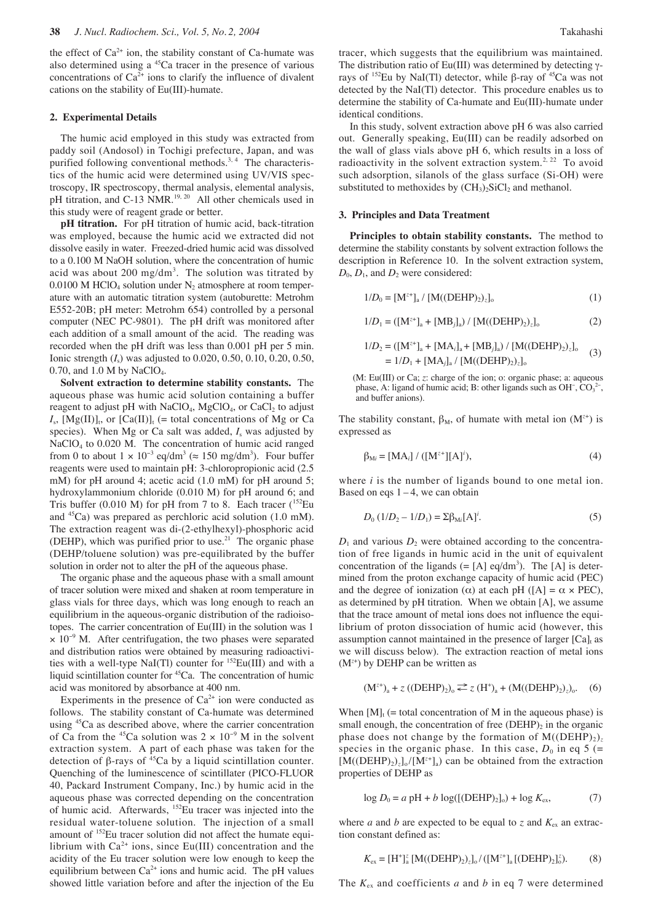the effect of  $Ca^{2+}$  ion, the stability constant of  $Ca$ -humate was also determined using a 45Ca tracer in the presence of various concentrations of  $Ca^{2+}$  ions to clarify the influence of divalent cations on the stability of Eu(III)-humate.

# **2. Experimental Details**

The humic acid employed in this study was extracted from paddy soil (Andosol) in Tochigi prefecture, Japan, and was purified following conventional methods.<sup>3, 4</sup> The characteristics of the humic acid were determined using UV/VIS spectroscopy, IR spectroscopy, thermal analysis, elemental analysis, pH titration, and C-13 NMR.<sup>19, 20</sup> All other chemicals used in this study were of reagent grade or better.

**pH titration.** For pH titration of humic acid, back-titration was employed, because the humic acid we extracted did not dissolve easily in water. Freezed-dried humic acid was dissolved to a 0.100 M NaOH solution, where the concentration of humic acid was about  $200 \text{ mg/dm}^3$ . The solution was titrated by 0.0100 M HClO<sub>4</sub> solution under  $N_2$  atmosphere at room temperature with an automatic titration system (autoburette: Metrohm E552-20B; pH meter: Metrohm 654) controlled by a personal computer (NEC PC-9801). The pH drift was monitored after each addition of a small amount of the acid. The reading was recorded when the pH drift was less than 0.001 pH per 5 min. Ionic strength (*I*s) was adjusted to 0.020, 0.50, 0.10, 0.20, 0.50,  $0.70$ , and  $1.0$  M by NaClO<sub>4</sub>.

**Solvent extraction to determine stability constants.** The aqueous phase was humic acid solution containing a buffer reagent to adjust pH with  $NaClO<sub>4</sub>$ , MgClO<sub>4</sub>, or CaCl<sub>2</sub> to adjust  $I_s$ ,  $[Mg(II)]_t$ , or  $[Ca(II)]_t$  (= total concentrations of Mg or Ca species). When Mg or Ca salt was added,  $I_s$  was adjusted by NaClO4 to 0.020 M. The concentration of humic acid ranged from 0 to about  $1 \times 10^{-3}$  eq/dm<sup>3</sup> ( $\approx 150$  mg/dm<sup>3</sup>). Four buffer reagents were used to maintain pH: 3-chloropropionic acid (2.5 mM) for pH around 4; acetic acid (1.0 mM) for pH around 5; hydroxylammonium chloride (0.010 M) for pH around 6; and Tris buffer (0.010 M) for pH from 7 to 8. Each tracer  $(^{152}Eu$ and 45Ca) was prepared as perchloric acid solution (1.0 mM). The extraction reagent was di-(2-ethylhexyl)-phosphoric acid (DEHP), which was purified prior to use.<sup>21</sup> The organic phase (DEHP/toluene solution) was pre-equilibrated by the buffer solution in order not to alter the pH of the aqueous phase.

The organic phase and the aqueous phase with a small amount of tracer solution were mixed and shaken at room temperature in glass vials for three days, which was long enough to reach an equilibrium in the aqueous-organic distribution of the radioisotopes. The carrier concentration of Eu(III) in the solution was 1  $\times$  10<sup>-9</sup> M. After centrifugation, the two phases were separated and distribution ratios were obtained by measuring radioactivities with a well-type NaI(Tl) counter for <sup>152</sup>Eu(III) and with a liquid scintillation counter for <sup>45</sup>Ca. The concentration of humic acid was monitored by absorbance at 400 nm.

Experiments in the presence of  $Ca^{2+}$  ion were conducted as follows. The stability constant of Ca-humate was determined using <sup>45</sup>Ca as described above, where the carrier concentration of Ca from the <sup>45</sup>Ca solution was  $2 \times 10^{-9}$  M in the solvent extraction system. A part of each phase was taken for the detection of β-rays of  $^{45}$ Ca by a liquid scintillation counter. Quenching of the luminescence of scintillater (PICO-FLUOR 40, Packard Instrument Company, Inc.) by humic acid in the aqueous phase was corrected depending on the concentration of humic acid. Afterwards, 152Eu tracer was injected into the residual water-toluene solution. The injection of a small amount of 152Eu tracer solution did not affect the humate equilibrium with  $Ca^{2+}$  ions, since Eu(III) concentration and the acidity of the Eu tracer solution were low enough to keep the equilibrium between  $Ca^{2+}$  ions and humic acid. The pH values showed little variation before and after the injection of the Eu tracer, which suggests that the equilibrium was maintained. The distribution ratio of Eu(III) was determined by detecting γrays of 152Eu by NaI(Tl) detector, while β-ray of 45Ca was not detected by the NaI(Tl) detector. This procedure enables us to determine the stability of Ca-humate and Eu(III)-humate under identical conditions.

In this study, solvent extraction above pH 6 was also carried out. Generally speaking, Eu(III) can be readily adsorbed on the wall of glass vials above pH 6, which results in a loss of radioactivity in the solvent extraction system.<sup>2, 22</sup> To avoid such adsorption, silanols of the glass surface (Si-OH) were substituted to methoxides by  $(CH_3)$ ,  $SiCl_2$  and methanol.

#### **3. Principles and Data Treatment**

**Principles to obtain stability constants.** The method to determine the stability constants by solvent extraction follows the description in Reference 10. In the solvent extraction system,  $D_0$ ,  $D_1$ , and  $D_2$  were considered:

$$
1/D_0 = [M^{z+}]_a / [M((DEHP)_2)_z]_o
$$
 (1)

$$
1/D_1 = ([M^{z+}]_a + [MB_j]_a) / [M((DEHP)_2)_z]_o
$$
 (2)

$$
1/D_2 = ([M^{z+}]_a + [MA_i]_a + [MB_j]_a) / [M((DEHP)_2)_z]_o
$$
  
= 1/D\_1 + [MA\_j]\_a / [M((DEHP)\_2)\_z]\_o (3)

(M: Eu(III) or Ca; *z*: charge of the ion; o: organic phase; a: aqueous phase, A: ligand of humic acid; B: other ligands such as  $OH^-$ ,  $CO_3^2^-$ , and buffer anions).

The stability constant,  $\beta_M$ , of humate with metal ion  $(M^{2+})$  is expressed as

$$
\beta_{Mi} = [MA_i] / ([M^{z+}][A]^i), \tag{4}
$$

where *i* is the number of ligands bound to one metal ion. Based on eqs  $1 - 4$ , we can obtain

$$
D_0 (1/D_2 - 1/D_1) = \Sigma \beta_{\rm Mi} [A]^i.
$$
 (5)

 $D_1$  and various  $D_2$  were obtained according to the concentration of free ligands in humic acid in the unit of equivalent concentration of the ligands  $(=[A] \text{ eq/dm}^3)$ . The [A] is determined from the proton exchange capacity of humic acid (PEC) and the degree of ionization ( $\alpha$ ) at each pH ([A] =  $\alpha \times$  PEC), as determined by pH titration. When we obtain [A], we assume that the trace amount of metal ions does not influence the equilibrium of proton dissociation of humic acid (however, this assumption cannot maintained in the presence of larger  $[Ca]$ <sub>t</sub> as we will discuss below). The extraction reaction of metal ions (M*<sup>z</sup>*<sup>+</sup> ) by DEHP can be written as

$$
(M^{z+})_a + z ((DEHP)_2)_o \stackrel{\text{def}}{=} z (H^*)_a + (M((DEHP)_2)_z)_o. \quad (6)
$$

When  $[M]_t$  (= total concentration of M in the aqueous phase) is small enough, the concentration of free  $(DEHP)_2$  in the organic phase does not change by the formation of  $M((DEHP)_2)_z$ species in the organic phase. In this case,  $D_0$  in eq 5 (=  $[M((DEHP)_2)_z]_0/[M^{z+}]_a]$  can be obtained from the extraction properties of DEHP as

$$
\log D_0 = a \text{ pH} + b \log([(\text{DEHP})_2]_0) + \log K_{\text{ex}},\tag{7}
$$

where *a* and *b* are expected to be equal to *z* and  $K_{ex}$  an extraction constant defined as:

$$
K_{\rm ex} = [H^+]^\tau_a [M((DEHP)_2)_z]_0 / ([M^{z+}]_a [(DEHP)_2]_0^z).
$$
 (8)

The  $K_{ex}$  and coefficients *a* and *b* in eq 7 were determined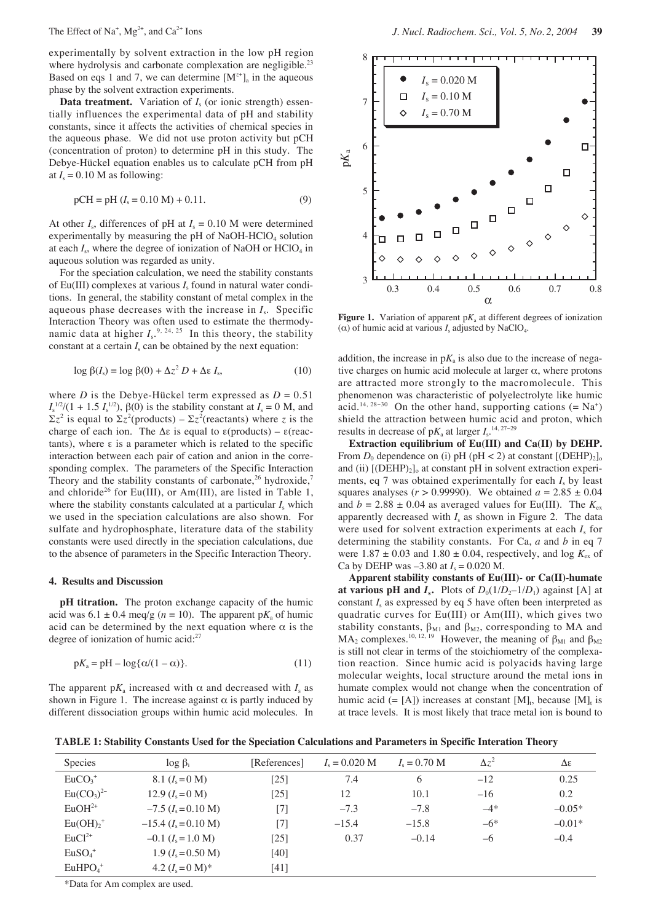The Effect of Na<sup>+</sup>,  $Mg^{2+}$ , and Ca<sup>2+</sup> Ions

experimentally by solvent extraction in the low pH region where hydrolysis and carbonate complexation are negligible.<sup>23</sup> Based on eqs 1 and 7, we can determine  $[M<sup>z+</sup>]_a$  in the aqueous phase by the solvent extraction experiments.

**Data treatment.** Variation of *I<sub>s</sub>* (or ionic strength) essentially influences the experimental data of pH and stability constants, since it affects the activities of chemical species in the aqueous phase. We did not use proton activity but pCH (concentration of proton) to determine pH in this study. The Debye-Hückel equation enables us to calculate pCH from pH at  $I_s = 0.10$  M as following:

$$
pCH = pH (Is = 0.10 M) + 0.11.
$$
\n(9)

At other  $I_s$ , differences of pH at  $I_s = 0.10$  M were determined experimentally by measuring the  $pH$  of NaOH-HClO<sub>4</sub> solution at each  $I_s$ , where the degree of ionization of NaOH or  $HClO<sub>4</sub>$  in aqueous solution was regarded as unity.

For the speciation calculation, we need the stability constants of Eu(III) complexes at various *I*<sup>s</sup> found in natural water conditions. In general, the stability constant of metal complex in the aqueous phase decreases with the increase in *I*s. Specific Interaction Theory was often used to estimate the thermodynamic data at higher  $I_s^{9, 24, 25}$  In this theory, the stability constant at a certain  $I_s$  can be obtained by the next equation:

$$
\log \beta(I_{s}) = \log \beta(0) + \Delta z^{2} D + \Delta \varepsilon I_{s}, \qquad (10)
$$

where *D* is the Debye-Hückel term expressed as  $D = 0.51$  $I_s^{1/2}/(1 + 1.5 I_s^{1/2})$ , β(0) is the stability constant at  $I_s = 0$  M, and  $\Sigma z^2$  is equal to  $\Sigma z^2$ (products) –  $\Sigma z^2$ (reactants) where *z* is the charge of each ion. The  $\Delta \varepsilon$  is equal to  $\varepsilon$ (products) –  $\varepsilon$ (reactants), where ε is a parameter which is related to the specific interaction between each pair of cation and anion in the corresponding complex. The parameters of the Specific Interaction Theory and the stability constants of carbonate,<sup>26</sup> hydroxide,<sup>7</sup> and chloride<sup>26</sup> for Eu(III), or Am(III), are listed in Table 1, where the stability constants calculated at a particular  $I_s$  which we used in the speciation calculations are also shown. For sulfate and hydrophosphate, literature data of the stability constants were used directly in the speciation calculations, due to the absence of parameters in the Specific Interaction Theory.

#### **4. Results and Discussion**

**pH titration.** The proton exchange capacity of the humic acid was  $6.1 \pm 0.4$  meg/g ( $n = 10$ ). The apparent p $K_a$  of humic acid can be determined by the next equation where  $\alpha$  is the degree of ionization of humic acid:<sup>27</sup>

$$
pK_a = pH - \log{\{\alpha/(1-\alpha)\}}.
$$
\n(11)

The apparent p $K_a$  increased with  $\alpha$  and decreased with  $I_s$  as shown in Figure 1. The increase against  $\alpha$  is partly induced by different dissociation groups within humic acid molecules. In



**Figure 1.** Variation of apparent  $pK_a$  at different degrees of ionization ( $\alpha$ ) of humic acid at various  $I_s$  adjusted by NaClO<sub>4</sub>.

addition, the increase in  $pK_a$  is also due to the increase of negative charges on humic acid molecule at larger  $\alpha$ , where protons are attracted more strongly to the macromolecule. This phenomenon was characteristic of polyelectrolyte like humic acid.<sup>14, 28–30</sup> On the other hand, supporting cations (=  $Na<sup>+</sup>$ ) shield the attraction between humic acid and proton, which results in decrease of  $pK_a$  at larger  $I_s$ <sup>14, 27–29</sup>

**Extraction equilibrium of Eu(III) and Ca(II) by DEHP.** From  $D_0$  dependence on (i) pH (pH < 2) at constant  $[(DEHP)_2]_0$ and (ii)  $[(DEHP)_2]_0$  at constant pH in solvent extraction experiments, eq 7 was obtained experimentally for each  $I<sub>s</sub>$  by least squares analyses ( $r > 0.99990$ ). We obtained  $a = 2.85 \pm 0.04$ and  $b = 2.88 \pm 0.04$  as averaged values for Eu(III). The  $K_{ex}$ apparently decreased with  $I_s$  as shown in Figure 2. The data were used for solvent extraction experiments at each *I*<sup>s</sup> for determining the stability constants. For Ca, *a* and *b* in eq 7 were  $1.87 \pm 0.03$  and  $1.80 \pm 0.04$ , respectively, and log  $K_{ex}$  of Ca by DEHP was  $-3.80$  at  $I_s = 0.020$  M.

**Apparent stability constants of Eu(III)- or Ca(II)-humate at various pH and**  $I_s$ **.** Plots of  $D_0(1/D_2-1/D_1)$  against [A] at constant  $I_s$  as expressed by eq 5 have often been interpreted as quadratic curves for Eu(III) or Am(III), which gives two stability constants,  $\beta_{\rm M1}$  and  $\beta_{\rm M2}$ , corresponding to MA and MA<sub>2</sub> complexes.<sup>10, 12, 19</sup> However, the meaning of  $\beta_{M1}$  and  $\beta_{M2}$ is still not clear in terms of the stoichiometry of the complexation reaction. Since humic acid is polyacids having large molecular weights, local structure around the metal ions in humate complex would not change when the concentration of humic acid (= [A]) increases at constant  $[M]_t$ , because  $[M]_t$  is at trace levels. It is most likely that trace metal ion is bound to

**TABLE 1: Stability Constants Used for the Speciation Calculations and Parameters in Specific Interation Theory**

| Species               | $\log \beta_i$              | [References] | $I_s = 0.020$ M | $I_s = 0.70$ M | $\Delta z^2$ | Δε       |
|-----------------------|-----------------------------|--------------|-----------------|----------------|--------------|----------|
| $EuCO3+$              | 8.1 $(I_s = 0 M)$           | [25]         | 7.4             | 6              | $-12$        | 0.25     |
| $Eu(CO3)2-$           | 12.9 $(I_s = 0 M)$          | [25]         | 12              | 10.1           | $-16$        | 0.2      |
| $EuOH2+$              | $-7.5$ ( $I_s = 0.10$ M)    | [7]          | $-7.3$          | $-7.8$         | $-4*$        | $-0.05*$ |
| $Eu(OH)2+$            | $-15.4$ $(I_s = 0.10$ M)    | [7]          | $-15.4$         | $-15.8$        | $-6*$        | $-0.01*$ |
| $EuCl2+$              | $-0.1$ $(I_s = 1.0$ M)      | [25]         | 0.37            | $-0.14$        | $-6$         | $-0.4$   |
| $EuSO4+$              | $1.9$ $(I_s = 0.50$ M)      | [40]         |                 |                |              |          |
| $EuHPO4$ <sup>+</sup> | 4.2 $(I_s = 0 \text{ M})^*$ | [41]         |                 |                |              |          |

\*Data for Am complex are used.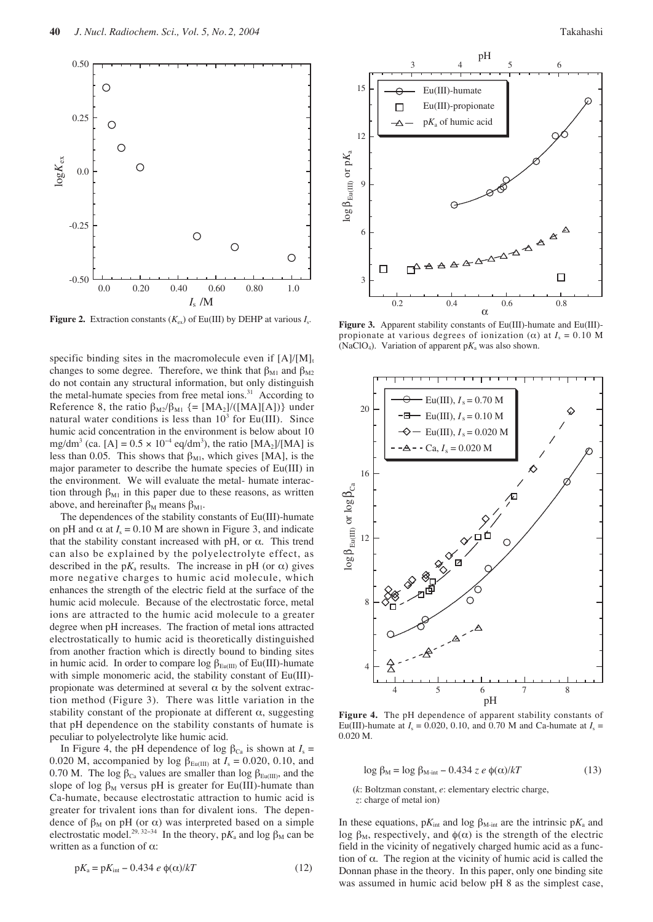

**Figure 2.** Extraction constants  $(K_{ex})$  of Eu(III) by DEHP at various  $I_{s}$ .

specific binding sites in the macromolecule even if  $[A]/[M]_t$ changes to some degree. Therefore, we think that  $\beta_{M1}$  and  $\beta_{M2}$ do not contain any structural information, but only distinguish the metal-humate species from free metal ions.<sup>31</sup> According to Reference 8, the ratio  $\beta_{M2}/\beta_{M1}$  {= [MA<sub>2</sub>]/([MA][A])} under natural water conditions is less than  $10^3$  for Eu(III). Since humic acid concentration in the environment is below about 10 mg/dm<sup>3</sup> (ca. [A] =  $0.5 \times 10^{-4}$  eq/dm<sup>3</sup>), the ratio [MA<sub>2</sub>]/[MA] is less than 0.05. This shows that  $\beta_{\text{M1}}$ , which gives [MA], is the major parameter to describe the humate species of Eu(III) in the environment. We will evaluate the metal- humate interaction through  $\beta_{M1}$  in this paper due to these reasons, as written above, and hereinafter  $\beta_M$  means  $\beta_{M1}$ .

The dependences of the stability constants of Eu(III)-humate on pH and  $\alpha$  at  $I_s = 0.10$  M are shown in Figure 3, and indicate that the stability constant increased with pH, or  $α$ . This trend can also be explained by the polyelectrolyte effect, as described in the p $K_a$  results. The increase in pH (or  $\alpha$ ) gives more negative charges to humic acid molecule, which enhances the strength of the electric field at the surface of the humic acid molecule. Because of the electrostatic force, metal ions are attracted to the humic acid molecule to a greater degree when pH increases. The fraction of metal ions attracted electrostatically to humic acid is theoretically distinguished from another fraction which is directly bound to binding sites in humic acid. In order to compare log  $\beta_{\text{Eu(III)}}$  of Eu(III)-humate with simple monomeric acid, the stability constant of Eu(III) propionate was determined at several  $\alpha$  by the solvent extraction method (Figure 3). There was little variation in the stability constant of the propionate at different  $\alpha$ , suggesting that pH dependence on the stability constants of humate is peculiar to polyelectrolyte like humic acid.

In Figure 4, the pH dependence of log  $β<sub>Ca</sub>$  is shown at *I<sub>s</sub>* = 0.020 M, accompanied by log  $\beta_{Eu(III)}$  at  $I_s = 0.020, 0.10,$  and 0.70 M. The log  $\beta_{Ca}$  values are smaller than log  $\beta_{Eu(III)}$ , and the slope of log  $\beta_M$  versus pH is greater for Eu(III)-humate than Ca-humate, because electrostatic attraction to humic acid is greater for trivalent ions than for divalent ions. The dependence of  $\beta_M$  on pH (or  $\alpha$ ) was interpreted based on a simple electrostatic model.<sup>29, 32–34</sup> In the theory,  $pK_a$  and log  $\beta_M$  can be written as a function of  $\alpha$ :

$$
pK_{\rm a} = pK_{\rm int} - 0.434 \ e \ \phi(\alpha)/kT \tag{12}
$$



**Figure 3.** Apparent stability constants of Eu(III)-humate and Eu(III) propionate at various degrees of ionization ( $\alpha$ ) at  $I_s = 0.10$  M (NaClO<sub>4</sub>). Variation of apparent  $pK_a$  was also shown.



**Figure 4.** The pH dependence of apparent stability constants of Eu(III)-humate at  $I_s = 0.020, 0.10,$  and 0.70 M and Ca-humate at  $I_s =$ 0.020 M.

$$
\log \beta_{\rm M} = \log \beta_{\rm M-int} - 0.434 \ z \ e \ \phi(\alpha)/kT \tag{13}
$$

(*k*: Boltzman constant, *e*: elementary electric charge, *z*: charge of metal ion)

In these equations,  $pK_{int}$  and log β<sub>M-int</sub> are the intrinsic  $pK_a$  and log  $\beta_M$ , respectively, and  $\phi(\alpha)$  is the strength of the electric field in the vicinity of negatively charged humic acid as a function of  $\alpha$ . The region at the vicinity of humic acid is called the Donnan phase in the theory. In this paper, only one binding site was assumed in humic acid below pH 8 as the simplest case,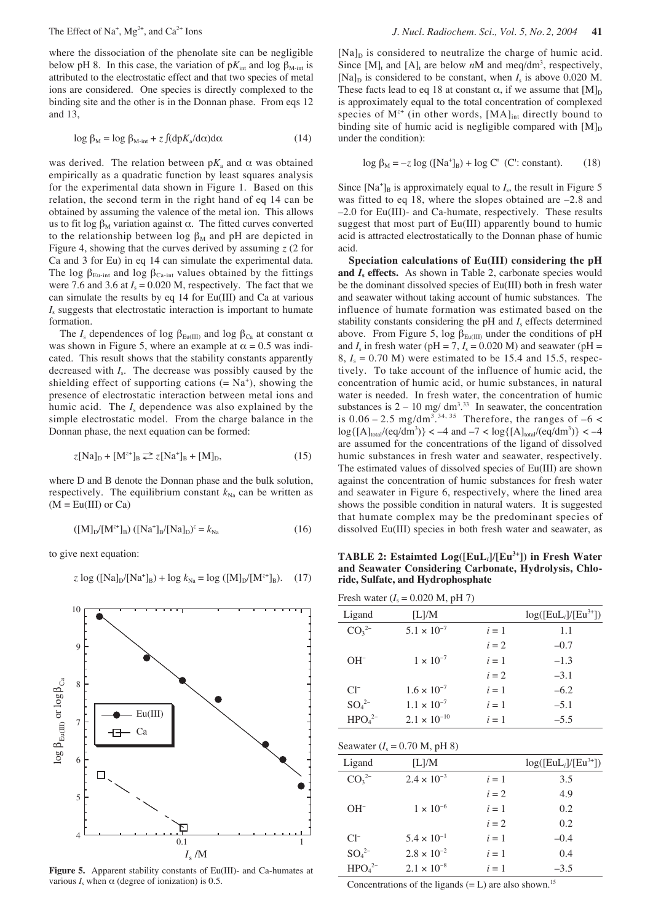where the dissociation of the phenolate site can be negligible below pH 8. In this case, the variation of  $pK_{int}$  and log  $\beta_{M-int}$  is attributed to the electrostatic effect and that two species of metal ions are considered. One species is directly complexed to the binding site and the other is in the Donnan phase. From eqs 12 and 13,

$$
\log \beta_{\rm M} = \log \beta_{\rm M-int} + z \int (dp K_{\rm a}/d\alpha) d\alpha \tag{14}
$$

was derived. The relation between  $pK_a$  and  $\alpha$  was obtained empirically as a quadratic function by least squares analysis for the experimental data shown in Figure 1. Based on this relation, the second term in the right hand of eq 14 can be obtained by assuming the valence of the metal ion. This allows us to fit log  $β_M$  variation against α. The fitted curves converted to the relationship between log  $\beta_M$  and pH are depicted in Figure 4, showing that the curves derived by assuming *z* (2 for Ca and 3 for Eu) in eq 14 can simulate the experimental data. The log  $\beta_{Eu-int}$  and log  $\beta_{Ca-int}$  values obtained by the fittings were 7.6 and 3.6 at  $I_s = 0.020$  M, respectively. The fact that we can simulate the results by eq 14 for Eu(III) and Ca at various *I*<sup>s</sup> suggests that electrostatic interaction is important to humate formation.

The  $I_s$  dependences of log  $\beta_{Eu(III)}$  and log  $\beta_{Ca}$  at constant  $\alpha$ was shown in Figure 5, where an example at  $\alpha = 0.5$  was indicated. This result shows that the stability constants apparently decreased with *I*s. The decrease was possibly caused by the shielding effect of supporting cations  $(= Na<sup>+</sup>)$ , showing the presence of electrostatic interaction between metal ions and humic acid. The *I*<sup>s</sup> dependence was also explained by the simple electrostatic model. From the charge balance in the Donnan phase, the next equation can be formed:

$$
z[Na]_D + [M^{z+}]_B \rightleftarrows z[Na^+]_B + [M]_D,\tag{15}
$$

where D and B denote the Donnan phase and the bulk solution, respectively. The equilibrium constant  $k_{\text{Na}}$  can be written as  $(M = Eu(III)$  or  $Ca)$ 

$$
([M]_D/[M^{z+}]_B) ([Na^+]_B/[Na]_D)^z = k_{Na}
$$
 (16)

to give next equation:

z log ([Na]<sub>D</sub>/[Na<sup>+</sup><sub>B</sub>) + log 
$$
k_{Na}
$$
 = log ([M]<sub>D</sub>/[M<sup>z+</sup><sub>B</sub>). (17)



**Figure 5.** Apparent stability constants of Eu(III)- and Ca-humates at various  $I_s$  when  $\alpha$  (degree of ionization) is 0.5.

 $[Na]_D$  is considered to neutralize the charge of humic acid. Since  $[M]_t$  and  $[A]_t$  are below *n*M and meq/dm<sup>3</sup>, respectively, [Na]<sub>D</sub> is considered to be constant, when  $I_s$  is above 0.020 M. These facts lead to eq 18 at constant  $\alpha$ , if we assume that  $[M]_D$ is approximately equal to the total concentration of complexed species of M<sup>z+</sup> (in other words, [MA]<sub>int</sub> directly bound to binding site of humic acid is negligible compared with  $[M]_D$ under the condition):

$$
\log \beta_M = -z \log ([Na^+]_B) + \log C'
$$
 (C': constant). (18)

Since  $[Na^+]_B$  is approximately equal to  $I_s$ , the result in Figure 5 was fitted to eq 18, where the slopes obtained are –2.8 and –2.0 for Eu(III)- and Ca-humate, respectively. These results suggest that most part of Eu(III) apparently bound to humic acid is attracted electrostatically to the Donnan phase of humic acid.

**Speciation calculations of Eu(III) considering the pH** and *I<sub>s</sub>* effects. As shown in Table 2, carbonate species would be the dominant dissolved species of Eu(III) both in fresh water and seawater without taking account of humic substances. The influence of humate formation was estimated based on the stability constants considering the  $pH$  and  $I_s$  effects determined above. From Figure 5, log  $\beta_{Eu(III)}$  under the conditions of pH and  $I_s$  in fresh water (pH = 7,  $I_s$  = 0.020 M) and seawater (pH =  $8, I_s = 0.70$  M) were estimated to be 15.4 and 15.5, respectively. To take account of the influence of humic acid, the concentration of humic acid, or humic substances, in natural water is needed. In fresh water, the concentration of humic substances is  $2 - 10$  mg/ dm<sup>3</sup>.<sup>33</sup> In seawater, the concentration is  $0.06 - 2.5$  mg/dm<sup>3</sup>.<sup>34, 35</sup> Therefore, the ranges of  $-6$  <  $\log\{[{\rm Al}]_{\rm total}/(eq/dm^3)\} < -4$  and  $-7 < \log\{[{\rm Al}]_{\rm total}/(eq/dm^3)\} < -4$ are assumed for the concentrations of the ligand of dissolved humic substances in fresh water and seawater, respectively. The estimated values of dissolved species of Eu(III) are shown against the concentration of humic substances for fresh water and seawater in Figure 6, respectively, where the lined area shows the possible condition in natural waters. It is suggested that humate complex may be the predominant species of dissolved Eu(III) species in both fresh water and seawater, as

**TABLE 2: Estaimted Log([EuL***i***]/[Eu3+]) in Fresh Water and Seawater Considering Carbonate, Hydrolysis, Chloride, Sulfate, and Hydrophosphate** 

Fresh water  $(I_s = 0.020$  M, pH 7)

| Ligand                       | [L]/M                 |       | $log([EuL_i]/[Eu^{3+}])$ |
|------------------------------|-----------------------|-------|--------------------------|
| CO <sub>3</sub> <sup>2</sup> | $5.1 \times 10^{-7}$  | $i=1$ | 1.1                      |
|                              |                       | $i=2$ | $-0.7$                   |
| $OH^-$                       | $1 \times 10^{-7}$    | $i=1$ | $-1.3$                   |
|                              |                       | $i=2$ | $-3.1$                   |
| $Cl^-$                       | $1.6 \times 10^{-7}$  | $i=1$ | $-6.2$                   |
| $SO42-$                      | $1.1 \times 10^{-7}$  | $i=1$ | $-5.1$                   |
| $HPO42-$                     | $2.1 \times 10^{-10}$ | $i=1$ | $-5.5$                   |

$$
Seawater (I_s = 0.70 M, pH 8)
$$

| Ligand                         | [L]/M                |       | $log([EuL_i]/[Eu^{3+}])$ |
|--------------------------------|----------------------|-------|--------------------------|
| $CO_3^{2-}$                    | $2.4 \times 10^{-3}$ | $i=1$ | 3.5                      |
|                                |                      | $i=2$ | 4.9                      |
| $OH^-$                         | $1 \times 10^{-6}$   | $i=1$ | 0.2                      |
|                                |                      | $i=2$ | 0.2                      |
| $Cl^{-}$                       | $5.4 \times 10^{-1}$ | $i=1$ | $-0.4$                   |
| $SO_4^{2-}$                    | $2.8 \times 10^{-2}$ | $i=1$ | 0.4                      |
| HPO <sub>4</sub> <sup>2–</sup> | $2.1 \times 10^{-8}$ | $i=1$ | $-3.5$                   |

Concentrations of the ligands  $(= L)$  are also shown.<sup>15</sup>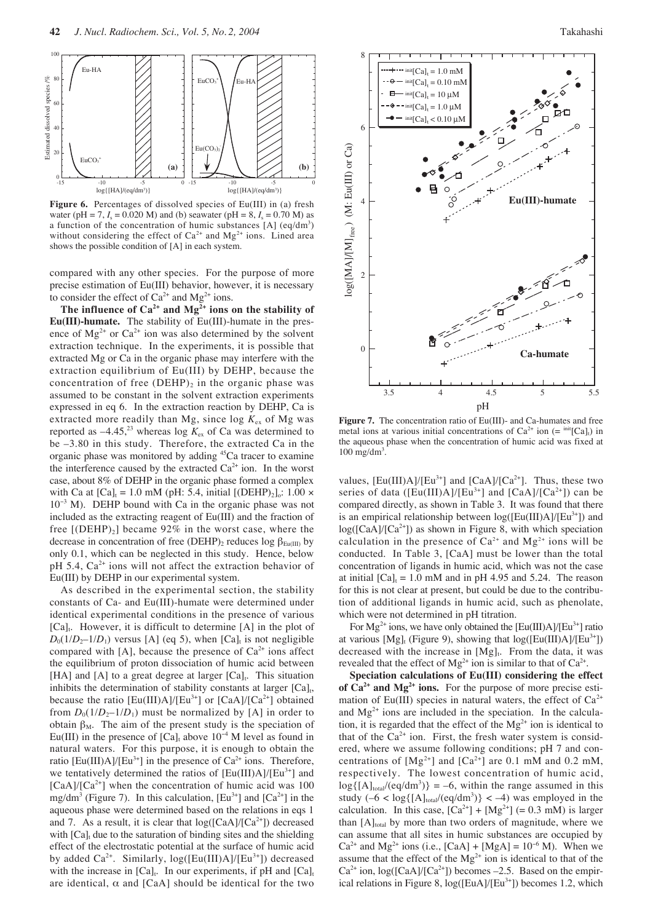

**Figure 6.** Percentages of dissolved species of Eu(III) in (a) fresh water (pH = 7,  $I_s = 0.020$  M) and (b) seawater (pH = 8,  $I_s = 0.70$  M) as a function of the concentration of humic substances  $[A]$  (eq/dm<sup>3</sup>) without considering the effect of  $Ca^{2+}$  and  $Mg^{2+}$  ions. Lined area shows the possible condition of [A] in each system.

compared with any other species. For the purpose of more precise estimation of Eu(III) behavior, however, it is necessary to consider the effect of  $Ca^{2+}$  and  $Mg^{2+}$  ions.

The influence of  $Ca^{2+}$  and  $Mg^{2+}$  ions on the stability of **Eu(III)-humate.** The stability of Eu(III)-humate in the presence of  $Mg^{2+}$  or  $Ca^{2+}$  ion was also determined by the solvent extraction technique. In the experiments, it is possible that extracted Mg or Ca in the organic phase may interfere with the extraction equilibrium of Eu(III) by DEHP, because the concentration of free  $(DEHP)_2$  in the organic phase was assumed to be constant in the solvent extraction experiments expressed in eq 6. In the extraction reaction by DEHP, Ca is extracted more readily than Mg, since  $log K_{ex}$  of Mg was reported as  $-4.45$ ,<sup>23</sup> whereas log  $K_{ex}$  of Ca was determined to be –3.80 in this study. Therefore, the extracted Ca in the organic phase was monitored by adding 45Ca tracer to examine the interference caused by the extracted  $Ca<sup>2+</sup>$  ion. In the worst case, about 8% of DEHP in the organic phase formed a complex with Ca at  $[Ca]_t = 1.0$  mM (pH: 5.4, initial  $[(\text{DEHP})_2]_0$ : 1.00 × 10<sup>−</sup><sup>3</sup> M). DEHP bound with Ca in the organic phase was not included as the extracting reagent of Eu(III) and the fraction of free  $[(DEHP)_2]$  became 92% in the worst case, where the decrease in concentration of free (DEHP)<sub>2</sub> reduces log  $\beta_{Eu(III)}$  by only 0.1, which can be neglected in this study. Hence, below pH 5.4,  $Ca^{2+}$  ions will not affect the extraction behavior of Eu(III) by DEHP in our experimental system.

As described in the experimental section, the stability constants of Ca- and Eu(III)-humate were determined under identical experimental conditions in the presence of various  $[Ca]<sub>t</sub>$ . However, it is difficult to determine  $[A]$  in the plot of  $D_0(1/D_2-1/D_1)$  versus [A] (eq 5), when [Ca]<sub>t</sub> is not negligible compared with [A], because the presence of  $Ca^{2+}$  ions affect the equilibrium of proton dissociation of humic acid between [HA] and [A] to a great degree at larger  $[Ca]_t$ . This situation inhibits the determination of stability constants at larger  $[Ca]_t$ , because the ratio  $[Eu(III)A]/[Eu^{3+}]$  or  $[CaA]/[Ca^{2+}]$  obtained from  $D_0(1/D_2-1/D_1)$  must be normalized by [A] in order to obtain  $\beta_M$ . The aim of the present study is the speciation of Eu(III) in the presence of  $[Ca]_t$  above  $10^{-4}$  M level as found in natural waters. For this purpose, it is enough to obtain the ratio [Eu(III)A]/[Eu<sup>3+</sup>] in the presence of  $Ca^{2+}$  ions. Therefore, we tentatively determined the ratios of  $[Eu(III)A]/[Eu<sup>3+</sup>]$  and  $[CaA]/[Ca^{2+}]$  when the concentration of humic acid was 100 mg/dm<sup>3</sup> (Figure 7). In this calculation,  $[Eu<sup>3+</sup>]$  and  $[Ca<sup>2+</sup>]$  in the aqueous phase were determined based on the relations in eqs 1 and 7. As a result, it is clear that  $log([CaA]/[Ca^{2+}])$  decreased with  $[Ca]_t$  due to the saturation of binding sites and the shielding effect of the electrostatic potential at the surface of humic acid by added Ca<sup>2+</sup>. Similarly,  $log([Eu(III)A]/[Eu^{3+}])$  decreased with the increase in  $[Ca]_t$ . In our experiments, if pH and  $[Ca]_t$ are identical,  $\alpha$  and [CaA] should be identical for the two



**Figure 7.** The concentration ratio of Eu(III)- and Ca-humates and free metal ions at various initial concentrations of  $Ca^{2+}$  ion (=  $\text{int}[Ca]_t$ ) in the aqueous phase when the concentration of humic acid was fixed at  $100$  mg/dm<sup>3</sup>.

values,  $[Eu(III)A]/[Eu^{3+}]$  and  $[CaA]/[Ca^{2+}]$ . Thus, these two series of data ( $[Eu(III)A]/[Eu^{3+}]$  and  $[CaA]/[Ca^{2+}]$ ) can be compared directly, as shown in Table 3. It was found that there is an empirical relationship between  $log([Eu(III)A]/[Eu^{3+}])$  and  $log([CaA]/[Ca<sup>2+</sup>]$ ) as shown in Figure 8, with which speciation calculation in the presence of  $Ca^{2+}$  and  $Mg^{2+}$  ions will be conducted. In Table 3, [CaA] must be lower than the total concentration of ligands in humic acid, which was not the case at initial  $[Ca]_t = 1.0$  mM and in pH 4.95 and 5.24. The reason for this is not clear at present, but could be due to the contribution of additional ligands in humic acid, such as phenolate, which were not determined in pH titration.

For  $Mg^{2+}$  ions, we have only obtained the [Eu(III)A]/[Eu<sup>3+</sup>] ratio at various  $[Mg]_t$  (Figure 9), showing that  $log([Eu(III)A]/[Eu^{3+}])$ decreased with the increase in  $[Mg]_t$ . From the data, it was revealed that the effect of  $Mg^{2+}$  ion is similar to that of  $Ca^{2+}$ .

**Speciation calculations of Eu(III) considering the effect of Ca2+ and Mg2+ ions.** For the purpose of more precise estimation of Eu(III) species in natural waters, the effect of  $Ca^{2+}$ and  $Mg^{2+}$  ions are included in the speciation. In the calculation, it is regarded that the effect of the  $Mg^{2+}$  ion is identical to that of the  $Ca^{2+}$  ion. First, the fresh water system is considered, where we assume following conditions; pH 7 and concentrations of  $[Mg^{2+}]$  and  $[Ca^{2+}]$  are 0.1 mM and 0.2 mM, respectively. The lowest concentration of humic acid,  $log({[A]_{total}}/(eq/dm^3)) = -6$ , within the range assumed in this study  $(-6 < log{[A]_{total}}/(eq/dm^3)) < -4$ ) was employed in the calculation. In this case,  $[Ca^{2+}] + [Mg^{2+}] (= 0.3 \text{ mM})$  is larger than  $[A]_{total}$  by more than two orders of magnitude, where we can assume that all sites in humic substances are occupied by  $Ca^{2+}$  and Mg<sup>2+</sup> ions (i.e., [CaA] + [MgA] = 10<sup>-6</sup> M). When we assume that the effect of the  $Mg^{2+}$  ion is identical to that of the  $Ca^{2+}$  ion,  $log([CaA]/[Ca^{2+}])$  becomes -2.5. Based on the empirical relations in Figure 8,  $log([EuA]/[Eu^{3+}])$  becomes 1.2, which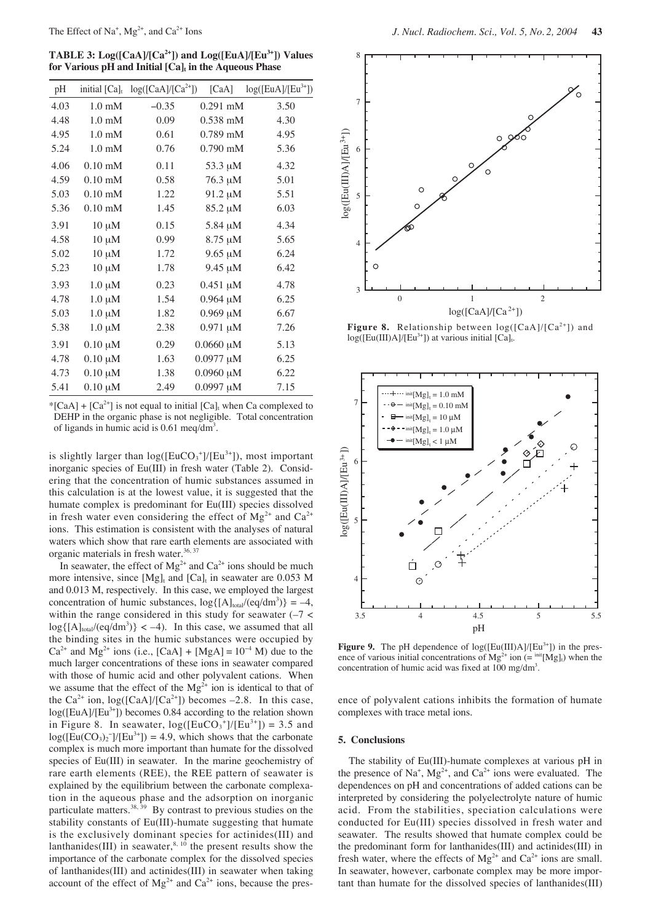**TABLE 3: Log([CaA]/[Ca2+]) and Log([EuA]/[Eu3+]) Values for Various pH and Initial [Ca]<sub>t</sub> in the Aqueous Phase** 

| $log([CaA]/[Ca2+])$<br>initial $[Ca]_t$<br>[CaA]<br>pH<br>4.03<br>1.0 <sub>m</sub> M<br>$-0.35$<br>3.50<br>$0.291$ mM<br>4.48<br>$1.0 \text{ mM}$<br>0.09<br>$0.538$ mM<br>4.30<br>4.95<br>$1.0 \text{ mM}$<br>0.61<br>$0.789$ mM<br>4.95<br>5.24<br>0.76<br>$0.790$ mM<br>$1.0 \text{ mM}$<br>5.36<br>4.06<br>$0.10$ mM<br>0.11<br>53.3 µM<br>4.32<br>$0.10$ mM<br>76.3 µM<br>5.01<br>4.59<br>0.58<br>5.03<br>$0.10 \text{ mM}$<br>$91.2 \mu M$<br>1.22<br>5.51<br>$0.10$ mM<br>6.03<br>5.36<br>1.45<br>85.2 µM<br>3.91<br>$10 \mu M$<br>0.15<br>4.34<br>5.84 µM<br>$10 \mu M$<br>8.75 µM<br>4.58<br>0.99<br>5.65<br>5.02<br>6.24<br>$10 \mu M$<br>1.72<br>$9.65 \mu M$<br>5.23<br>$10 \mu M$<br>1.78<br>$9.45 \mu M$<br>6.42<br>3.93<br>$1.0 \mu M$<br>0.23<br>$0.451 \mu M$<br>4.78<br>$1.0 \mu M$<br>$0.964 \mu M$<br>4.78<br>1.54<br>6.25<br>5.03<br>$1.0 \mu M$<br>1.82<br>$0.969 \mu M$<br>6.67<br>5.38<br>$1.0 \mu M$<br>2.38<br>$0.971 \mu M$<br>7.26<br>$0.10 \mu M$<br>0.29<br>$0.0660 \mu M$<br>3.91<br>5.13<br>$0.10 \mu M$<br>$0.0977 \mu M$<br>4.78<br>1.63<br>6.25<br>$0.10 \mu M$<br>$0.0960 \mu M$<br>6.22<br>4.73<br>1.38<br>$0.10 \mu M$<br>$0.0997 \mu M$<br>5.41<br>2.49<br>7.15 |  |  |                        |
|--------------------------------------------------------------------------------------------------------------------------------------------------------------------------------------------------------------------------------------------------------------------------------------------------------------------------------------------------------------------------------------------------------------------------------------------------------------------------------------------------------------------------------------------------------------------------------------------------------------------------------------------------------------------------------------------------------------------------------------------------------------------------------------------------------------------------------------------------------------------------------------------------------------------------------------------------------------------------------------------------------------------------------------------------------------------------------------------------------------------------------------------------------------------------------------------------------|--|--|------------------------|
|                                                                                                                                                                                                                                                                                                                                                                                                                                                                                                                                                                                                                                                                                                                                                                                                                                                                                                                                                                                                                                                                                                                                                                                                        |  |  | $log([EuA]/[Eu^{3+}])$ |
|                                                                                                                                                                                                                                                                                                                                                                                                                                                                                                                                                                                                                                                                                                                                                                                                                                                                                                                                                                                                                                                                                                                                                                                                        |  |  |                        |
|                                                                                                                                                                                                                                                                                                                                                                                                                                                                                                                                                                                                                                                                                                                                                                                                                                                                                                                                                                                                                                                                                                                                                                                                        |  |  |                        |
|                                                                                                                                                                                                                                                                                                                                                                                                                                                                                                                                                                                                                                                                                                                                                                                                                                                                                                                                                                                                                                                                                                                                                                                                        |  |  |                        |
|                                                                                                                                                                                                                                                                                                                                                                                                                                                                                                                                                                                                                                                                                                                                                                                                                                                                                                                                                                                                                                                                                                                                                                                                        |  |  |                        |
|                                                                                                                                                                                                                                                                                                                                                                                                                                                                                                                                                                                                                                                                                                                                                                                                                                                                                                                                                                                                                                                                                                                                                                                                        |  |  |                        |
|                                                                                                                                                                                                                                                                                                                                                                                                                                                                                                                                                                                                                                                                                                                                                                                                                                                                                                                                                                                                                                                                                                                                                                                                        |  |  |                        |
|                                                                                                                                                                                                                                                                                                                                                                                                                                                                                                                                                                                                                                                                                                                                                                                                                                                                                                                                                                                                                                                                                                                                                                                                        |  |  |                        |
|                                                                                                                                                                                                                                                                                                                                                                                                                                                                                                                                                                                                                                                                                                                                                                                                                                                                                                                                                                                                                                                                                                                                                                                                        |  |  |                        |
|                                                                                                                                                                                                                                                                                                                                                                                                                                                                                                                                                                                                                                                                                                                                                                                                                                                                                                                                                                                                                                                                                                                                                                                                        |  |  |                        |
|                                                                                                                                                                                                                                                                                                                                                                                                                                                                                                                                                                                                                                                                                                                                                                                                                                                                                                                                                                                                                                                                                                                                                                                                        |  |  |                        |
|                                                                                                                                                                                                                                                                                                                                                                                                                                                                                                                                                                                                                                                                                                                                                                                                                                                                                                                                                                                                                                                                                                                                                                                                        |  |  |                        |
|                                                                                                                                                                                                                                                                                                                                                                                                                                                                                                                                                                                                                                                                                                                                                                                                                                                                                                                                                                                                                                                                                                                                                                                                        |  |  |                        |
|                                                                                                                                                                                                                                                                                                                                                                                                                                                                                                                                                                                                                                                                                                                                                                                                                                                                                                                                                                                                                                                                                                                                                                                                        |  |  |                        |
|                                                                                                                                                                                                                                                                                                                                                                                                                                                                                                                                                                                                                                                                                                                                                                                                                                                                                                                                                                                                                                                                                                                                                                                                        |  |  |                        |
|                                                                                                                                                                                                                                                                                                                                                                                                                                                                                                                                                                                                                                                                                                                                                                                                                                                                                                                                                                                                                                                                                                                                                                                                        |  |  |                        |
|                                                                                                                                                                                                                                                                                                                                                                                                                                                                                                                                                                                                                                                                                                                                                                                                                                                                                                                                                                                                                                                                                                                                                                                                        |  |  |                        |
|                                                                                                                                                                                                                                                                                                                                                                                                                                                                                                                                                                                                                                                                                                                                                                                                                                                                                                                                                                                                                                                                                                                                                                                                        |  |  |                        |
|                                                                                                                                                                                                                                                                                                                                                                                                                                                                                                                                                                                                                                                                                                                                                                                                                                                                                                                                                                                                                                                                                                                                                                                                        |  |  |                        |
|                                                                                                                                                                                                                                                                                                                                                                                                                                                                                                                                                                                                                                                                                                                                                                                                                                                                                                                                                                                                                                                                                                                                                                                                        |  |  |                        |
|                                                                                                                                                                                                                                                                                                                                                                                                                                                                                                                                                                                                                                                                                                                                                                                                                                                                                                                                                                                                                                                                                                                                                                                                        |  |  |                        |

\*[CaA] + [Ca<sup>2+</sup>] is not equal to initial [Ca]<sub>t</sub> when Ca complexed to DEHP in the organic phase is not negligible. Total concentration of ligands in humic acid is 0.61 meq/dm<sup>3</sup>.

is slightly larger than  $log([EuCO_3^+]/[Eu^{3+}])$ , most important inorganic species of Eu(III) in fresh water (Table 2). Considering that the concentration of humic substances assumed in this calculation is at the lowest value, it is suggested that the humate complex is predominant for Eu(III) species dissolved in fresh water even considering the effect of  $Mg^{2+}$  and  $Ca^{2+}$ ions. This estimation is consistent with the analyses of natural waters which show that rare earth elements are associated with organic materials in fresh water.<sup>36, 37</sup>

In seawater, the effect of  $Mg^{2+}$  and  $Ca^{2+}$  ions should be much more intensive, since  $[Mg]_t$  and  $[Ca]_t$  in seawater are 0.053 M and 0.013 M, respectively. In this case, we employed the largest concentration of humic substances,  $log({[A]_{total}}/(eq/dm^3)) = -4$ , within the range considered in this study for seawater  $(-7 <$  $log{[A]_{total}}/(eq/dm^3)$  < -4). In this case, we assumed that all the binding sites in the humic substances were occupied by  $Ca^{2+}$  and Mg<sup>2+</sup> ions (i.e., [CaA] + [MgA] = 10<sup>-4</sup> M) due to the much larger concentrations of these ions in seawater compared with those of humic acid and other polyvalent cations. When we assume that the effect of the  $Mg^{2+}$  ion is identical to that of the  $Ca^{2+}$  ion,  $log([CaA]/[Ca^{2+}])$  becomes -2.8. In this case,  $log([EuA]/[Eu<sup>3+</sup>])$  becomes 0.84 according to the relation shown in Figure 8. In seawater,  $log([EuCO<sub>3</sub><sup>+</sup>]/[Eu<sup>3+</sup>]) = 3.5$  and  $log([Eu(CO<sub>3</sub>)<sub>2</sub><sup>-</sup>]/[Eu<sup>3+</sup>]) = 4.9$ , which shows that the carbonate complex is much more important than humate for the dissolved species of Eu(III) in seawater. In the marine geochemistry of rare earth elements (REE), the REE pattern of seawater is explained by the equilibrium between the carbonate complexation in the aqueous phase and the adsorption on inorganic particulate matters.<sup>38, 39</sup> By contrast to previous studies on the stability constants of Eu(III)-humate suggesting that humate is the exclusively dominant species for actinides(III) and lanthanides(III) in seawater,  $8, 10$  the present results show the importance of the carbonate complex for the dissolved species of lanthanides(III) and actinides(III) in seawater when taking account of the effect of  $Mg^{2+}$  and  $Ca^{2+}$  ions, because the pres-



**Figure 8.** Relationship between  $log([CaA]/[Ca^{2+}])$  and  $log([Eu(III)A]/[Eu<sup>3+</sup>])$  at various initial  $[Ca]_t$ .



**Figure 9.** The pH dependence of  $log([Eu(III)A]/[Eu^{3+}])$  in the presence of various initial concentrations of  $Mg^{2+}$  ion (=  $\text{int}[Mg]_t$ ) when the concentration of humic acid was fixed at  $100 \text{ mg/dm}^3$ .

ence of polyvalent cations inhibits the formation of humate complexes with trace metal ions.

### **5. Conclusions**

The stability of Eu(III)-humate complexes at various pH in the presence of Na<sup>+</sup>, Mg<sup>2+</sup>, and Ca<sup>2+</sup> ions were evaluated. The dependences on pH and concentrations of added cations can be interpreted by considering the polyelectrolyte nature of humic acid. From the stabilities, speciation calculations were conducted for Eu(III) species dissolved in fresh water and seawater. The results showed that humate complex could be the predominant form for lanthanides(III) and actinides(III) in fresh water, where the effects of  $Mg^{2+}$  and  $Ca^{2+}$  ions are small. In seawater, however, carbonate complex may be more important than humate for the dissolved species of lanthanides(III)